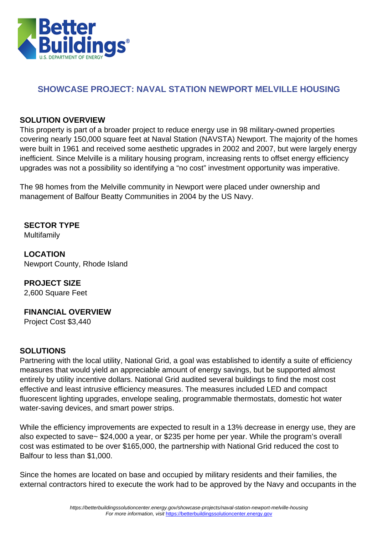

# **SHOWCASE PROJECT: NAVAL STATION NEWPORT MELVILLE HOUSING**

#### **SOLUTION OVERVIEW**

This property is part of a broader project to reduce energy use in 98 military-owned properties covering nearly 150,000 square feet at Naval Station (NAVSTA) Newport. The majority of the homes were built in 1961 and received some aesthetic upgrades in 2002 and 2007, but were largely energy inefficient. Since Melville is a military housing program, increasing rents to offset energy efficiency upgrades was not a possibility so identifying a "no cost" investment opportunity was imperative.

The 98 homes from the Melville community in Newport were placed under ownership and management of Balfour Beatty Communities in 2004 by the US Navy.

**SECTOR TYPE** Multifamily

**LOCATION** Newport County, Rhode Island

# **PROJECT SIZE**

2,600 Square Feet

## **FINANCIAL OVERVIEW**

Project Cost \$3,440

## **SOLUTIONS**

Partnering with the local utility, National Grid, a goal was established to identify a suite of efficiency measures that would yield an appreciable amount of energy savings, but be supported almost entirely by utility incentive dollars. National Grid audited several buildings to find the most cost effective and least intrusive efficiency measures. The measures included LED and compact fluorescent lighting upgrades, envelope sealing, programmable thermostats, domestic hot water water-saving devices, and smart power strips.

While the efficiency improvements are expected to result in a 13% decrease in energy use, they are also expected to save~ \$24,000 a year, or \$235 per home per year. While the program's overall cost was estimated to be over \$165,000, the partnership with National Grid reduced the cost to Balfour to less than \$1,000.

Since the homes are located on base and occupied by military residents and their families, the external contractors hired to execute the work had to be approved by the Navy and occupants in the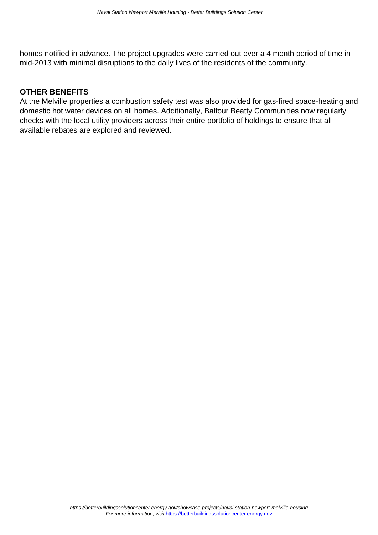homes notified in advance. The project upgrades were carried out over a 4 month period of time in mid-2013 with minimal disruptions to the daily lives of the residents of the community.

#### **OTHER BENEFITS**

At the Melville properties a combustion safety test was also provided for gas-fired space-heating and domestic hot water devices on all homes. Additionally, Balfour Beatty Communities now regularly checks with the local utility providers across their entire portfolio of holdings to ensure that all available rebates are explored and reviewed.